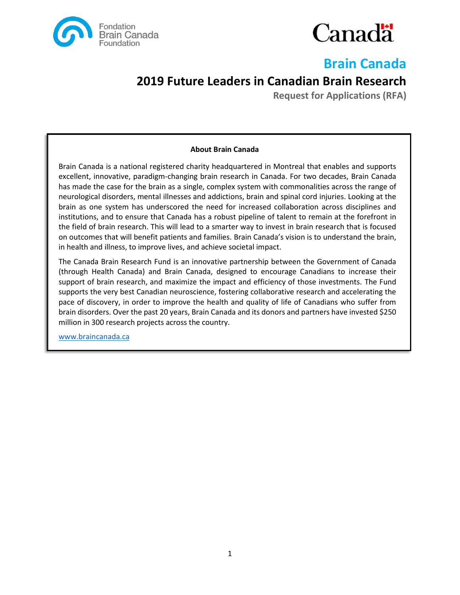



# **Brain Canada**

# **2019 Future Leaders in Canadian Brain Research**

**Request for Applications (RFA)**

### **About Brain Canada**

Brain Canada is a national registered charity headquartered in Montreal that enables and supports excellent, innovative, paradigm-changing brain research in Canada. For two decades, Brain Canada has made the case for the brain as a single, complex system with commonalities across the range of neurological disorders, mental illnesses and addictions, brain and spinal cord injuries. Looking at the brain as one system has underscored the need for increased collaboration across disciplines and institutions, and to ensure that Canada has a robust pipeline of talent to remain at the forefront in the field of brain research. This will lead to a smarter way to invest in brain research that is focused on outcomes that will benefit patients and families. Brain Canada's vision is to understand the brain, in health and illness, to improve lives, and achieve societal impact.

The Canada Brain Research Fund is an innovative partnership between the Government of Canada (through Health Canada) and Brain Canada, designed to encourage Canadians to increase their support of brain research, and maximize the impact and efficiency of those investments. The Fund supports the very best Canadian neuroscience, fostering collaborative research and accelerating the pace of discovery, in order to improve the health and quality of life of Canadians who suffer from brain disorders. Over the past 20 years, Brain Canada and its donors and partners have invested \$250 million in 300 research projects across the country.

[www.braincanada.ca](http://www.braincanada.ca/)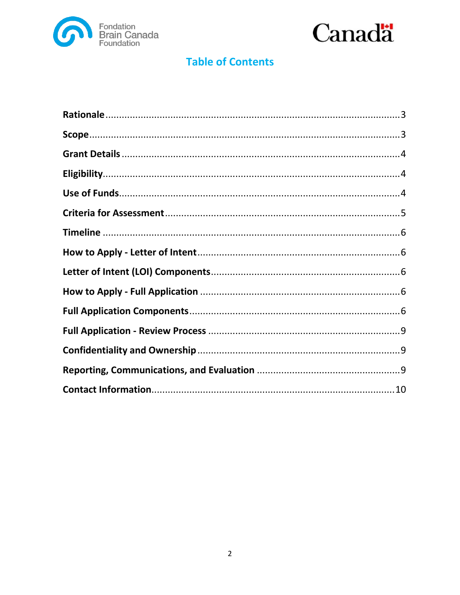



# **Table of Contents**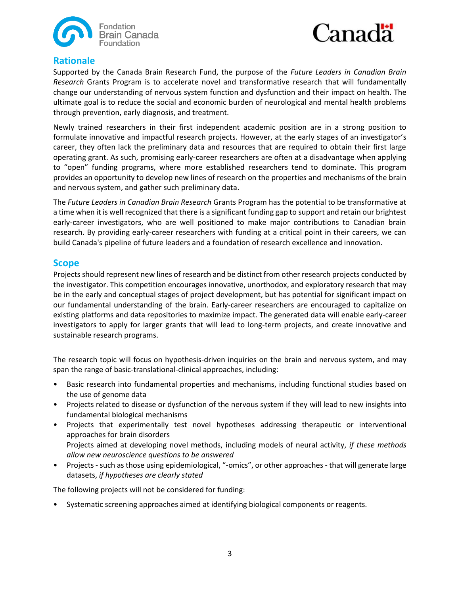



## <span id="page-2-0"></span>**Rationale**

Supported by the Canada Brain Research Fund, the purpose of the *Future Leaders in Canadian Brain Research* Grants Program is to accelerate novel and transformative research that will fundamentally change our understanding of nervous system function and dysfunction and their impact on health. The ultimate goal is to reduce the social and economic burden of neurological and mental health problems through prevention, early diagnosis, and treatment.

Newly trained researchers in their first independent academic position are in a strong position to formulate innovative and impactful research projects. However, at the early stages of an investigator's career, they often lack the preliminary data and resources that are required to obtain their first large operating grant. As such, promising early-career researchers are often at a disadvantage when applying to "open" funding programs, where more established researchers tend to dominate. This program provides an opportunity to develop new lines of research on the properties and mechanisms of the brain and nervous system, and gather such preliminary data.

The *Future Leaders in Canadian Brain Research* Grants Program has the potential to be transformative at a time when it is well recognized that there is a significant funding gap to support and retain our brightest early-career investigators, who are well positioned to make major contributions to Canadian brain research. By providing early-career researchers with funding at a critical point in their careers, we can build Canada's pipeline of future leaders and a foundation of research excellence and innovation.

### <span id="page-2-1"></span>**Scope**

Projects should represent new lines of research and be distinct from other research projects conducted by the investigator. This competition encourages innovative, unorthodox, and exploratory research that may be in the early and conceptual stages of project development, but has potential for significant impact on our fundamental understanding of the brain. Early-career researchers are encouraged to capitalize on existing platforms and data repositories to maximize impact. The generated data will enable early-career investigators to apply for larger grants that will lead to long-term projects, and create innovative and sustainable research programs.

The research topic will focus on hypothesis-driven inquiries on the brain and nervous system, and may span the range of basic-translational-clinical approaches, including:

- Basic research into fundamental properties and mechanisms, including functional studies based on the use of genome data
- Projects related to disease or dysfunction of the nervous system if they will lead to new insights into fundamental biological mechanisms
- Projects that experimentally test novel hypotheses addressing therapeutic or interventional approaches for brain disorders Projects aimed at developing novel methods, including models of neural activity, *if these methods allow new neuroscience questions to be answered*
- Projects such as those using epidemiological, "-omics", or other approaches that will generate large datasets, *if hypotheses are clearly stated*

The following projects will not be considered for funding:

• Systematic screening approaches aimed at identifying biological components or reagents.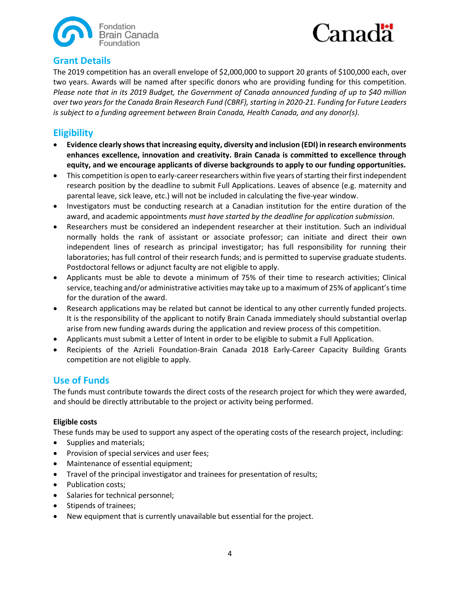



# <span id="page-3-0"></span>**Grant Details**

The 2019 competition has an overall envelope of \$2,000,000 to support 20 grants of \$100,000 each, over two years. Awards will be named after specific donors who are providing funding for this competition. *Please note that in its 2019 Budget, the Government of Canada announced funding of up to \$40 million over two years for the Canada Brain Research Fund (CBRF), starting in 2020-21. Funding for Future Leaders is subject to a funding agreement between Brain Canada, Health Canada, and any donor(s).*

# <span id="page-3-1"></span>**Eligibility**

- **Evidence clearly shows that increasing equity, diversity and inclusion (EDI) in research environments enhances excellence, innovation and creativity. Brain Canada is committed to excellence through equity, and we encourage applicants of diverse backgrounds to apply to our funding opportunities.**
- This competition is open to early-career researchers within five years of starting their first independent research position by the deadline to submit Full Applications. Leaves of absence (e.g. maternity and parental leave, sick leave, etc.) will not be included in calculating the five-year window.
- Investigators must be conducting research at a Canadian institution for the entire duration of the award, and academic appointments *must have started by the deadline for application submission*.
- Researchers must be considered an independent researcher at their institution. Such an individual normally holds the rank of assistant or associate professor; can initiate and direct their own independent lines of research as principal investigator; has full responsibility for running their laboratories; has full control of their research funds; and is permitted to supervise graduate students. Postdoctoral fellows or adjunct faculty are not eligible to apply.
- Applicants must be able to devote a minimum of 75% of their time to research activities; Clinical service, teaching and/or administrative activities may take up to a maximum of 25% of applicant's time for the duration of the award.
- Research applications may be related but cannot be identical to any other currently funded projects. It is the responsibility of the applicant to notify Brain Canada immediately should substantial overlap arise from new funding awards during the application and review process of this competition.
- Applicants must submit a Letter of Intent in order to be eligible to submit a Full Application.
- Recipients of the Azrieli Foundation-Brain Canada 2018 Early-Career Capacity Building Grants competition are not eligible to apply.

## <span id="page-3-2"></span>**Use of Funds**

The funds must contribute towards the direct costs of the research project for which they were awarded, and should be directly attributable to the project or activity being performed.

### **Eligible costs**

These funds may be used to support any aspect of the operating costs of the research project, including:

- Supplies and materials;
- Provision of special services and user fees;
- Maintenance of essential equipment;
- Travel of the principal investigator and trainees for presentation of results;
- Publication costs;
- Salaries for technical personnel;
- Stipends of trainees;
- New equipment that is currently unavailable but essential for the project.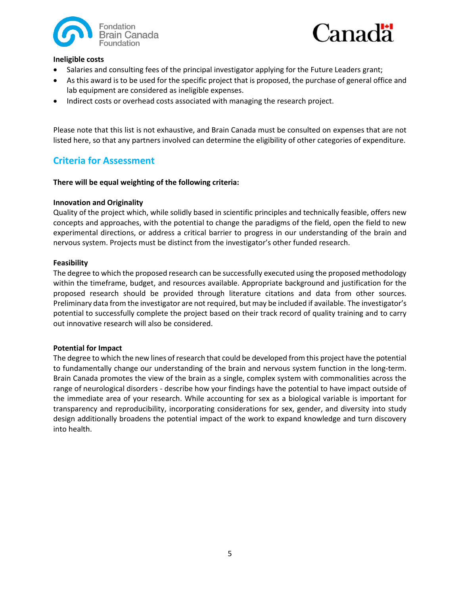



### **Ineligible costs**

- Salaries and consulting fees of the principal investigator applying for the Future Leaders grant;
- As this award is to be used for the specific project that is proposed, the purchase of general office and lab equipment are considered as ineligible expenses.
- Indirect costs or overhead costs associated with managing the research project.

Please note that this list is not exhaustive, and Brain Canada must be consulted on expenses that are not listed here, so that any partners involved can determine the eligibility of other categories of expenditure.

# <span id="page-4-0"></span>**Criteria for Assessment**

#### **There will be equal weighting of the following criteria:**

#### **Innovation and Originality**

Quality of the project which, while solidly based in scientific principles and technically feasible, offers new concepts and approaches, with the potential to change the paradigms of the field, open the field to new experimental directions, or address a critical barrier to progress in our understanding of the brain and nervous system. Projects must be distinct from the investigator's other funded research.

#### **Feasibility**

The degree to which the proposed research can be successfully executed using the proposed methodology within the timeframe, budget, and resources available. Appropriate background and justification for the proposed research should be provided through literature citations and data from other sources. Preliminary data from the investigator are not required, but may be included if available. The investigator's potential to successfully complete the project based on their track record of quality training and to carry out innovative research will also be considered.

#### **Potential for Impact**

The degree to which the new lines of research that could be developed from this project have the potential to fundamentally change our understanding of the brain and nervous system function in the long-term. Brain Canada promotes the view of the brain as a single, complex system with commonalities across the range of neurological disorders - describe how your findings have the potential to have impact outside of the immediate area of your research. While accounting for sex as a biological variable is important for transparency and reproducibility, incorporating considerations for sex, gender, and diversity into study design additionally broadens the potential impact of the work to expand knowledge and turn discovery into health.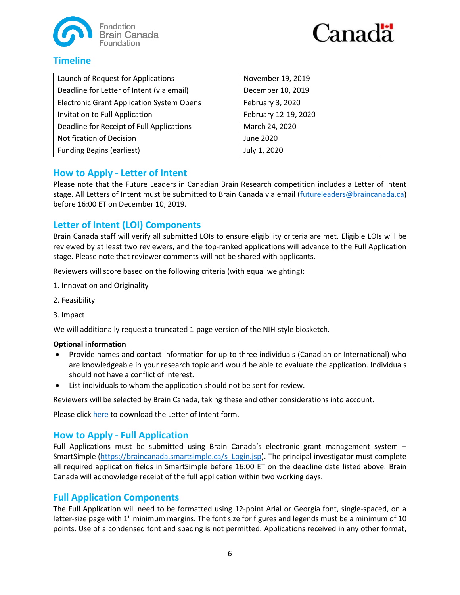



# <span id="page-5-0"></span>**Timeline**

| Launch of Request for Applications               | November 19, 2019    |
|--------------------------------------------------|----------------------|
| Deadline for Letter of Intent (via email)        | December 10, 2019    |
| <b>Electronic Grant Application System Opens</b> | February 3, 2020     |
| Invitation to Full Application                   | February 12-19, 2020 |
| Deadline for Receipt of Full Applications        | March 24, 2020       |
| <b>Notification of Decision</b>                  | June 2020            |
| <b>Funding Begins (earliest)</b>                 | July 1, 2020         |

# <span id="page-5-1"></span>**How to Apply - Letter of Intent**

Please note that the Future Leaders in Canadian Brain Research competition includes a Letter of Intent stage. All Letters of Intent must be submitted to Brain Canada via email [\(futureleaders@braincanada.ca\)](mailto:futureleaders@braincanada.ca) before 16:00 ET on December 10, 2019.

# <span id="page-5-2"></span>**Letter of Intent (LOI) Components**

Brain Canada staff will verify all submitted LOIs to ensure eligibility criteria are met. Eligible LOIs will be reviewed by at least two reviewers, and the top-ranked applications will advance to the Full Application stage. Please note that reviewer comments will not be shared with applicants.

Reviewers will score based on the following criteria (with equal weighting):

- 1. Innovation and Originality
- 2. Feasibility
- 3. Impact

We will additionally request a truncated 1-page version of the NIH-style biosketch.

### **Optional information**

- Provide names and contact information for up to three individuals (Canadian or International) who are knowledgeable in your research topic and would be able to evaluate the application. Individuals should not have a conflict of interest.
- List individuals to whom the application should not be sent for review.

Reviewers will be selected by Brain Canada, taking these and other considerations into account.

Please click [here](https://braincanada.ca/wp-content/uploads/2019/11/Brain_Canada_2019_Future_Leaders_Letter_of_Intent_Form.docx) to download the Letter of Intent form.

## <span id="page-5-3"></span>**How to Apply - Full Application**

Full Applications must be submitted using Brain Canada's electronic grant management system – SmartSimple [\(https://braincanada.smartsimple.ca/s\\_Login.jsp\)](https://braincanada.smartsimple.ca/s_Login.jsp). The principal investigator must complete all required application fields in SmartSimple before 16:00 ET on the deadline date listed above. Brain Canada will acknowledge receipt of the full application within two working days.

## <span id="page-5-4"></span>**Full Application Components**

The Full Application will need to be formatted using 12-point Arial or Georgia font, single‐spaced, on a letter-size page with 1" minimum margins. The font size for figures and legends must be a minimum of 10 points. Use of a condensed font and spacing is not permitted. Applications received in any other format,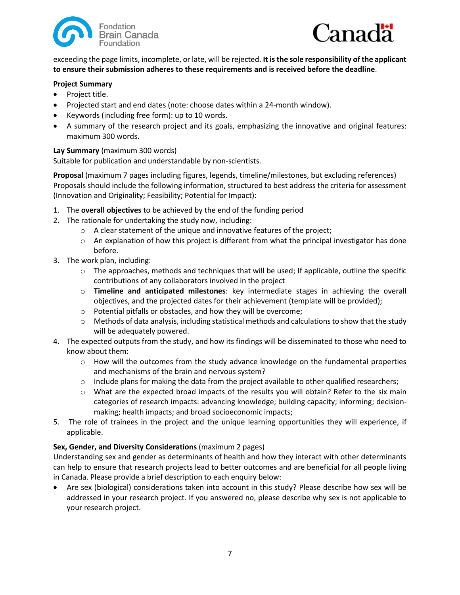



exceeding the page limits, incomplete, or late, will be rejected. **It is the sole responsibility of the applicant to ensure their submission adheres to these requirements and is received before the deadline**.

#### **Project Summary**

- Project title.
- Projected start and end dates (note: choose dates within a 24-month window).
- Keywords (including free form): up to 10 words.
- A summary of the research project and its goals, emphasizing the innovative and original features: maximum 300 words.

### **Lay Summary** (maximum 300 words)

Suitable for publication and understandable by non-scientists.

**Proposal** (maximum 7 pages including figures, legends, timeline/milestones, but excluding references) Proposals should include the following information, structured to best address the criteria for assessment (Innovation and Originality; Feasibility; Potential for Impact):

- 1. The **overall objectives** to be achieved by the end of the funding period
- 2. The rationale for undertaking the study now, including:
	- o A clear statement of the unique and innovative features of the project;
	- $\circ$  An explanation of how this project is different from what the principal investigator has done before.
- 3. The work plan, including:
	- o The approaches, methods and techniques that will be used; If applicable, outline the specific contributions of any collaborators involved in the project
	- o **Timeline and anticipated milestones**: key intermediate stages in achieving the overall objectives, and the projected dates for their achievement (template will be provided);
	- o Potential pitfalls or obstacles, and how they will be overcome;
	- $\circ$  Methods of data analysis, including statistical methods and calculations to show that the study will be adequately powered.
- 4. The expected outputs from the study, and how its findings will be disseminated to those who need to know about them:
	- $\circ$  How will the outcomes from the study advance knowledge on the fundamental properties and mechanisms of the brain and nervous system?
	- $\circ$  Include plans for making the data from the project available to other qualified researchers;
	- o What are the expected broad impacts of the results you will obtain? Refer to the six main categories of research impacts: advancing knowledge; building capacity; informing; decisionmaking; health impacts; and broad socioeconomic impacts;
- 5. The role of trainees in the project and the unique learning opportunities they will experience, if applicable.

### **Sex, Gender, and Diversity Considerations** (maximum 2 pages)

Understanding sex and gender as determinants of health and how they interact with other determinants can help to ensure that research projects lead to better outcomes and are beneficial for all people living in Canada. Please provide a brief description to each enquiry below:

• Are sex (biological) considerations taken into account in this study? Please describe how sex will be addressed in your research project. If you answered no, please describe why sex is not applicable to your research project.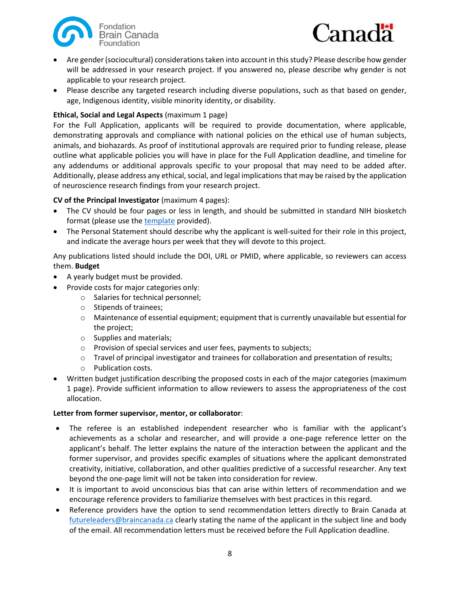



- Are gender (sociocultural) considerations taken into account in this study? Please describe how gender will be addressed in your research project. If you answered no, please describe why gender is not applicable to your research project.
- Please describe any targeted research including diverse populations, such as that based on gender, age, Indigenous identity, visible minority identity, or disability.

### **Ethical, Social and Legal Aspects** (maximum 1 page)

For the Full Application, applicants will be required to provide documentation, where applicable, demonstrating approvals and compliance with national policies on the ethical use of human subjects, animals, and biohazards. As proof of institutional approvals are required prior to funding release, please outline what applicable policies you will have in place for the Full Application deadline, and timeline for any addendums or additional approvals specific to your proposal that may need to be added after. Additionally, please address any ethical, social, and legal implications that may be raised by the application of neuroscience research findings from your research project.

### **CV of the Principal Investigator** (maximum 4 pages):

- The CV should be four pages or less in length, and should be submitted in standard NIH biosketch format (please use the [template](https://braincanada.ca/wp-content/uploads/2019/11/Brain_Canada_2019_Future_Leaders_Full_Application_Biosketch.docx) provided).
- The Personal Statement should describe why the applicant is well-suited for their role in this project, and indicate the average hours per week that they will devote to this project.

Any publications listed should include the DOI, URL or PMID, where applicable, so reviewers can access them. **Budget**

- A yearly budget must be provided.
- Provide costs for major categories only:
	- o Salaries for technical personnel;
	- o Stipends of trainees;
	- o Maintenance of essential equipment; equipment that is currently unavailable but essential for the project;
	- o Supplies and materials;
	- o Provision of special services and user fees, payments to subjects;
	- $\circ$  Travel of principal investigator and trainees for collaboration and presentation of results;
	- o Publication costs.
- Written budget justification describing the proposed costs in each of the major categories (maximum 1 page). Provide sufficient information to allow reviewers to assess the appropriateness of the cost allocation.

### **Letter from former supervisor, mentor, or collaborator**:

- The referee is an established independent researcher who is familiar with the applicant's achievements as a scholar and researcher, and will provide a one-page reference letter on the applicant's behalf. The letter explains the nature of the interaction between the applicant and the former supervisor, and provides specific examples of situations where the applicant demonstrated creativity, initiative, collaboration, and other qualities predictive of a successful researcher. Any text beyond the one-page limit will not be taken into consideration for review.
- It is important to avoid unconscious bias that can arise within letters of recommendation and we encourage reference providers to familiarize themselves with best practices in this regard.
- Reference providers have the option to send recommendation letters directly to Brain Canada at [futureleaders@braincanada.ca](mailto:futureleaders@braincanada.ca) clearly stating the name of the applicant in the subject line and body of the email. All recommendation letters must be received before the Full Application deadline.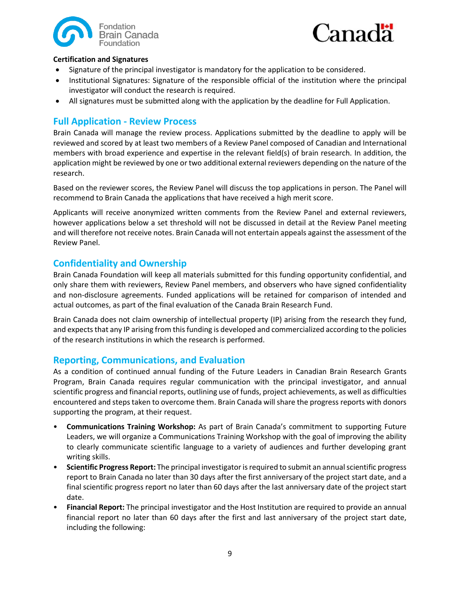



### **Certification and Signatures**

- Signature of the principal investigator is mandatory for the application to be considered.
- Institutional Signatures: Signature of the responsible official of the institution where the principal investigator will conduct the research is required.
- <span id="page-8-0"></span>• All signatures must be submitted along with the application by the deadline for Full Application.

# **Full Application - Review Process**

Brain Canada will manage the review process. Applications submitted by the deadline to apply will be reviewed and scored by at least two members of a Review Panel composed of Canadian and International members with broad experience and expertise in the relevant field(s) of brain research. In addition, the application might be reviewed by one or two additional external reviewers depending on the nature of the research.

Based on the reviewer scores, the Review Panel will discuss the top applications in person. The Panel will recommend to Brain Canada the applications that have received a high merit score.

Applicants will receive anonymized written comments from the Review Panel and external reviewers, however applications below a set threshold will not be discussed in detail at the Review Panel meeting and will therefore not receive notes. Brain Canada will not entertain appeals against the assessment of the Review Panel.

# <span id="page-8-1"></span>**Confidentiality and Ownership**

Brain Canada Foundation will keep all materials submitted for this funding opportunity confidential, and only share them with reviewers, Review Panel members, and observers who have signed confidentiality and non-disclosure agreements. Funded applications will be retained for comparison of intended and actual outcomes, as part of the final evaluation of the Canada Brain Research Fund.

Brain Canada does not claim ownership of intellectual property (IP) arising from the research they fund, and expects that any IP arising from this funding is developed and commercialized according to the policies of the research institutions in which the research is performed.

## <span id="page-8-2"></span>**Reporting, Communications, and Evaluation**

As a condition of continued annual funding of the Future Leaders in Canadian Brain Research Grants Program, Brain Canada requires regular communication with the principal investigator, and annual scientific progress and financial reports, outlining use of funds, project achievements, as well as difficulties encountered and steps taken to overcome them. Brain Canada will share the progress reports with donors supporting the program, at their request.

- **Communications Training Workshop:** As part of Brain Canada's commitment to supporting Future Leaders, we will organize a Communications Training Workshop with the goal of improving the ability to clearly communicate scientific language to a variety of audiences and further developing grant writing skills.
- **Scientific Progress Report:** The principal investigator isrequired to submit an annual scientific progress report to Brain Canada no later than 30 days after the first anniversary of the project start date, and a final scientific progress report no later than 60 days after the last anniversary date of the project start date.
- **Financial Report:** The principal investigator and the Host Institution are required to provide an annual financial report no later than 60 days after the first and last anniversary of the project start date, including the following: